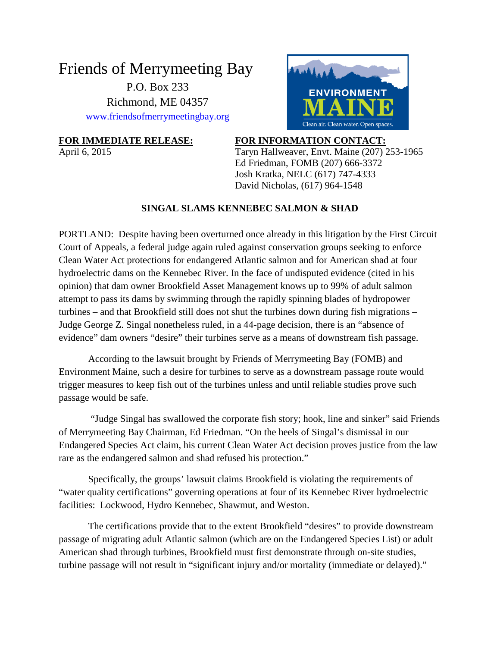## Friends of Merrymeeting Bay P.O. Box 233 Richmond, ME 04357 [www.friendsofmerrymeetingbay.org](http://www.friendsofmerrymeetingbay.org/)



## **FOR IMMEDIATE RELEASE: FOR INFORMATION CONTACT:**

April 6, 2015 Taryn Hallweaver, Envt. Maine (207) 253-1965 Ed Friedman, FOMB (207) 666-3372 Josh Kratka, NELC (617) 747-4333 David Nicholas, (617) 964-1548

## **SINGAL SLAMS KENNEBEC SALMON & SHAD**

PORTLAND: Despite having been overturned once already in this litigation by the First Circuit Court of Appeals, a federal judge again ruled against conservation groups seeking to enforce Clean Water Act protections for endangered Atlantic salmon and for American shad at four hydroelectric dams on the Kennebec River. In the face of undisputed evidence (cited in his opinion) that dam owner Brookfield Asset Management knows up to 99% of adult salmon attempt to pass its dams by swimming through the rapidly spinning blades of hydropower turbines – and that Brookfield still does not shut the turbines down during fish migrations – Judge George Z. Singal nonetheless ruled, in a 44-page decision, there is an "absence of evidence" dam owners "desire" their turbines serve as a means of downstream fish passage.

According to the lawsuit brought by Friends of Merrymeeting Bay (FOMB) and Environment Maine, such a desire for turbines to serve as a downstream passage route would trigger measures to keep fish out of the turbines unless and until reliable studies prove such passage would be safe.

"Judge Singal has swallowed the corporate fish story; hook, line and sinker" said Friends of Merrymeeting Bay Chairman, Ed Friedman. "On the heels of Singal's dismissal in our Endangered Species Act claim, his current Clean Water Act decision proves justice from the law rare as the endangered salmon and shad refused his protection."

Specifically, the groups' lawsuit claims Brookfield is violating the requirements of "water quality certifications" governing operations at four of its Kennebec River hydroelectric facilities: Lockwood, Hydro Kennebec, Shawmut, and Weston.

The certifications provide that to the extent Brookfield "desires" to provide downstream passage of migrating adult Atlantic salmon (which are on the Endangered Species List) or adult American shad through turbines, Brookfield must first demonstrate through on-site studies, turbine passage will not result in "significant injury and/or mortality (immediate or delayed)."